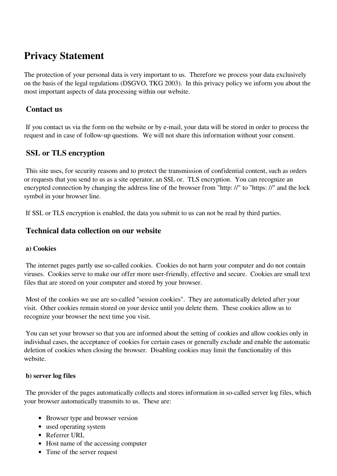# **Privacy Statement**

The protection of your personal data is very important to us. Therefore we process your data exclusively on the basis of the legal regulations (DSGVO, TKG 2003). In this privacy policy we inform you about the most important aspects of data processing within our website.

### **Contact us**

 If you contact us via the form on the website or by e-mail, your data will be stored in order to process the request and in case of follow-up questions. We will not share this information without your consent.

### **SSL or TLS encryption**

 This site uses, for security reasons and to protect the transmission of confidential content, such as orders or requests that you send to us as a site operator, an SSL or. TLS encryption. You can recognize an encrypted connection by changing the address line of the browser from "http: //" to "https: //" and the lock symbol in your browser line.

If SSL or TLS encryption is enabled, the data you submit to us can not be read by third parties.

### **Technical data collection on our website**

#### **a) Cookies**

 The internet pages partly use so-called cookies. Cookies do not harm your computer and do not contain viruses. Cookies serve to make our offer more user-friendly, effective and secure. Cookies are small text files that are stored on your computer and stored by your browser.

 Most of the cookies we use are so-called "session cookies". They are automatically deleted after your visit. Other cookies remain stored on your device until you delete them. These cookies allow us to recognize your browser the next time you visit.

 You can set your browser so that you are informed about the setting of cookies and allow cookies only in individual cases, the acceptance of cookies for certain cases or generally exclude and enable the automatic deletion of cookies when closing the browser. Disabling cookies may limit the functionality of this website.

#### **b) server log files**

 The provider of the pages automatically collects and stores information in so-called server log files, which your browser automatically transmits to us. These are:

- Browser type and browser version
- used operating system
- Referrer URL
- Host name of the accessing computer
- Time of the server request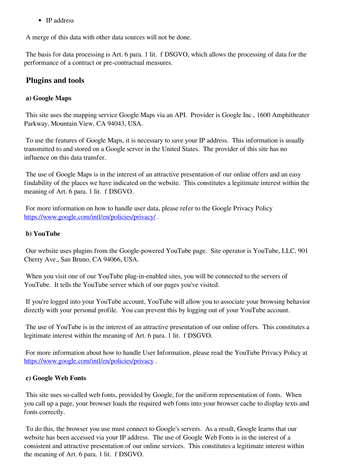• IP address

A merge of this data with other data sources will not be done.

 The basis for data processing is Art. 6 para. 1 lit. f DSGVO, which allows the processing of data for the performance of a contract or pre-contractual measures.

### **Plugins and tools**

### **a) Google Maps**

 This site uses the mapping service Google Maps via an API. Provider is Google Inc., 1600 Amphitheater Parkway, Mountain View, CA 94043, USA.

 To use the features of Google Maps, it is necessary to save your IP address. This information is usually transmitted to and stored on a Google server in the United States. The provider of this site has no influence on this data transfer.

 The use of Google Maps is in the interest of an attractive presentation of our online offers and an easy findability of the places we have indicated on the website. This constitutes a legitimate interest within the meaning of Art. 6 para. 1 lit. f DSGVO.

 For more information on how to handle user data, please refer to the Google Privacy Policy [https://www.google.com/intl/en/policies/privacy/](https://translate.googleusercontent.com/translate_c?depth=1&hl=de&ie=UTF8&prev=_t&rurl=translate.google.com&sl=de&sp=nmt4&tl=en&u=https://www.google.de/intl/de/policies/privacy/&xid=17259,15700023,15700043,15700124,15700149,15700168,15700173,15700186,15700189,15700191,15700201,15700205&usg=ALkJrhhN8RShhcADkSj-XzkvNs1-pVFtPg).

### **b) YouTube**

 Our website uses plugins from the Google-powered YouTube page. Site operator is YouTube, LLC, 901 Cherry Ave., San Bruno, CA 94066, USA.

 When you visit one of our YouTube plug-in-enabled sites, you will be connected to the servers of YouTube. It tells the YouTube server which of our pages you've visited.

 If you're logged into your YouTube account, YouTube will allow you to associate your browsing behavior directly with your personal profile. You can prevent this by logging out of your YouTube account.

 The use of YouTube is in the interest of an attractive presentation of our online offers. This constitutes a legitimate interest within the meaning of Art. 6 para. 1 lit. f DSGVO.

 For more information about how to handle User Information, please read the YouTube Privacy Policy at [https://www.google.com/intl/en/policies/privacy](https://translate.googleusercontent.com/translate_c?depth=1&hl=de&ie=UTF8&prev=_t&rurl=translate.google.com&sl=de&sp=nmt4&tl=en&u=https://www.google.de/intl/de/policies/privacy&xid=17259,15700023,15700043,15700124,15700149,15700168,15700173,15700186,15700189,15700191,15700201,15700205&usg=ALkJrhg0obEB2JD6eHQqL_rlA0V0fuZHLA).

#### **c) Google Web Fonts**

 This site uses so-called web fonts, provided by Google, for the uniform representation of fonts. When you call up a page, your browser loads the required web fonts into your browser cache to display texts and fonts correctly.

 To do this, the browser you use must connect to Google's servers. As a result, Google learns that our website has been accessed via your IP address. The use of Google Web Fonts is in the interest of a consistent and attractive presentation of our online services. This constitutes a legitimate interest within the meaning of Art. 6 para. 1 lit. f DSGVO.